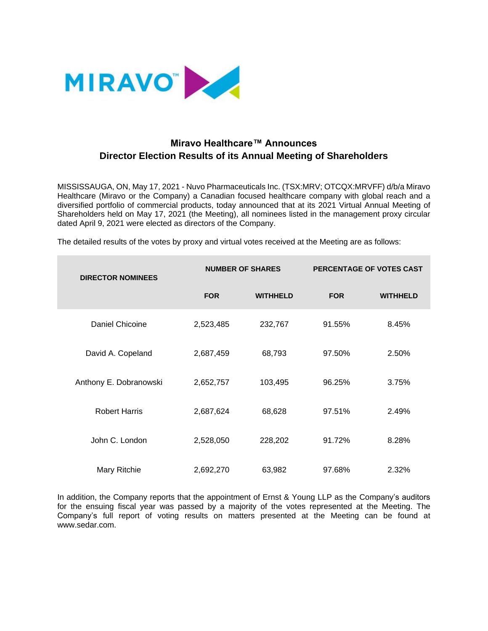

## **Miravo Healthcare™ Announces Director Election Results of its Annual Meeting of Shareholders**

MISSISSAUGA, ON, May 17, 2021 - Nuvo Pharmaceuticals Inc. (TSX:MRV; OTCQX:MRVFF) d/b/a Miravo Healthcare (Miravo or the Company) a Canadian focused healthcare company with global reach and a diversified portfolio of commercial products, today announced that at its 2021 Virtual Annual Meeting of Shareholders held on May 17, 2021 (the Meeting), all nominees listed in the management proxy circular dated April 9, 2021 were elected as directors of the Company.

The detailed results of the votes by proxy and virtual votes received at the Meeting are as follows:

| <b>DIRECTOR NOMINEES</b> | <b>NUMBER OF SHARES</b> |                 | PERCENTAGE OF VOTES CAST |                 |
|--------------------------|-------------------------|-----------------|--------------------------|-----------------|
|                          | <b>FOR</b>              | <b>WITHHELD</b> | <b>FOR</b>               | <b>WITHHELD</b> |
| Daniel Chicoine          | 2,523,485               | 232,767         | 91.55%                   | 8.45%           |
| David A. Copeland        | 2,687,459               | 68,793          | 97.50%                   | 2.50%           |
| Anthony E. Dobranowski   | 2,652,757               | 103,495         | 96.25%                   | 3.75%           |
| <b>Robert Harris</b>     | 2,687,624               | 68,628          | 97.51%                   | 2.49%           |
| John C. London           | 2,528,050               | 228,202         | 91.72%                   | 8.28%           |
| Mary Ritchie             | 2,692,270               | 63,982          | 97.68%                   | 2.32%           |

In addition, the Company reports that the appointment of Ernst & Young LLP as the Company's auditors for the ensuing fiscal year was passed by a majority of the votes represented at the Meeting. The Company's full report of voting results on matters presented at the Meeting can be found at www.sedar.com.